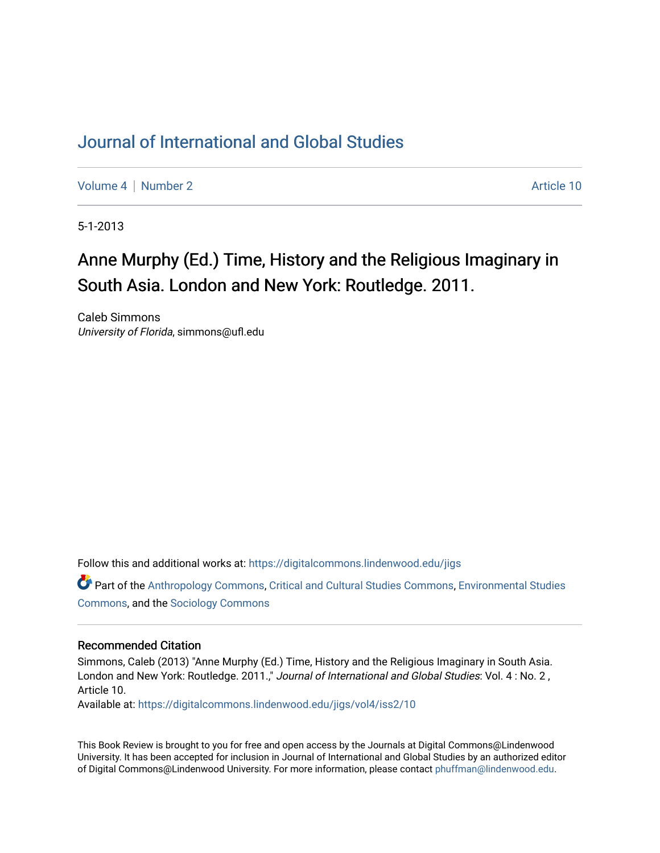## [Journal of International and Global Studies](https://digitalcommons.lindenwood.edu/jigs)

[Volume 4](https://digitalcommons.lindenwood.edu/jigs/vol4) | [Number 2](https://digitalcommons.lindenwood.edu/jigs/vol4/iss2) Article 10

5-1-2013

## Anne Murphy (Ed.) Time, History and the Religious Imaginary in South Asia. London and New York: Routledge. 2011.

Caleb Simmons University of Florida, simmons@ufl.edu

Follow this and additional works at: [https://digitalcommons.lindenwood.edu/jigs](https://digitalcommons.lindenwood.edu/jigs?utm_source=digitalcommons.lindenwood.edu%2Fjigs%2Fvol4%2Fiss2%2F10&utm_medium=PDF&utm_campaign=PDFCoverPages) 

Part of the [Anthropology Commons](http://network.bepress.com/hgg/discipline/318?utm_source=digitalcommons.lindenwood.edu%2Fjigs%2Fvol4%2Fiss2%2F10&utm_medium=PDF&utm_campaign=PDFCoverPages), [Critical and Cultural Studies Commons](http://network.bepress.com/hgg/discipline/328?utm_source=digitalcommons.lindenwood.edu%2Fjigs%2Fvol4%2Fiss2%2F10&utm_medium=PDF&utm_campaign=PDFCoverPages), [Environmental Studies](http://network.bepress.com/hgg/discipline/1333?utm_source=digitalcommons.lindenwood.edu%2Fjigs%2Fvol4%2Fiss2%2F10&utm_medium=PDF&utm_campaign=PDFCoverPages)  [Commons](http://network.bepress.com/hgg/discipline/1333?utm_source=digitalcommons.lindenwood.edu%2Fjigs%2Fvol4%2Fiss2%2F10&utm_medium=PDF&utm_campaign=PDFCoverPages), and the [Sociology Commons](http://network.bepress.com/hgg/discipline/416?utm_source=digitalcommons.lindenwood.edu%2Fjigs%2Fvol4%2Fiss2%2F10&utm_medium=PDF&utm_campaign=PDFCoverPages)

## Recommended Citation

Simmons, Caleb (2013) "Anne Murphy (Ed.) Time, History and the Religious Imaginary in South Asia. London and New York: Routledge. 2011.," Journal of International and Global Studies: Vol. 4: No. 2, Article 10.

Available at: [https://digitalcommons.lindenwood.edu/jigs/vol4/iss2/10](https://digitalcommons.lindenwood.edu/jigs/vol4/iss2/10?utm_source=digitalcommons.lindenwood.edu%2Fjigs%2Fvol4%2Fiss2%2F10&utm_medium=PDF&utm_campaign=PDFCoverPages) 

This Book Review is brought to you for free and open access by the Journals at Digital Commons@Lindenwood University. It has been accepted for inclusion in Journal of International and Global Studies by an authorized editor of Digital Commons@Lindenwood University. For more information, please contact [phuffman@lindenwood.edu](mailto:phuffman@lindenwood.edu).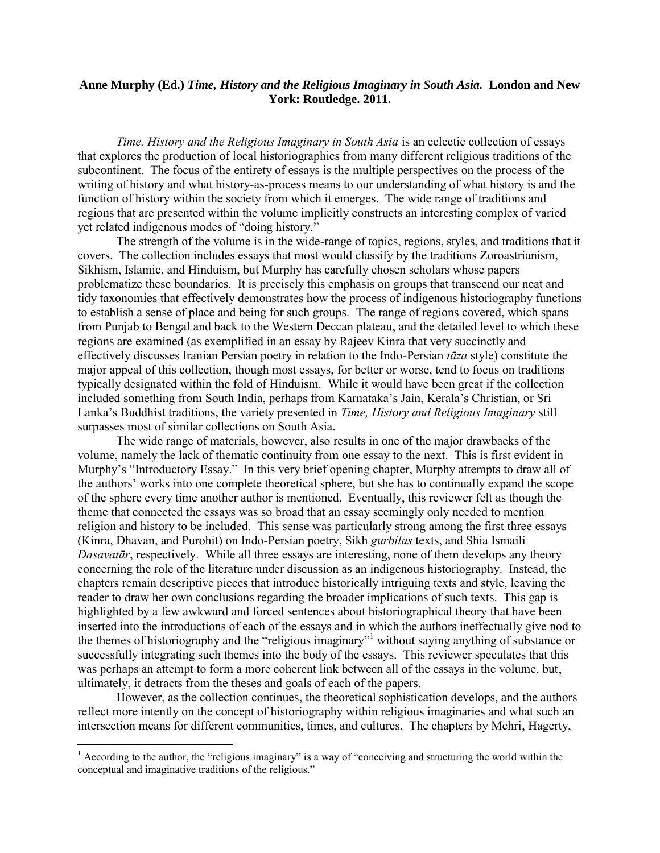## **Anne Murphy (Ed.)** *Time, History and the Religious Imaginary in South Asia.* **London and New York: Routledge. 2011.**

*Time, History and the Religious Imaginary in South Asia* is an eclectic collection of essays that explores the production of local historiographies from many different religious traditions of the subcontinent. The focus of the entirety of essays is the multiple perspectives on the process of the writing of history and what history-as-process means to our understanding of what history is and the function of history within the society from which it emerges. The wide range of traditions and regions that are presented within the volume implicitly constructs an interesting complex of varied yet related indigenous modes of "doing history."

The strength of the volume is in the wide-range of topics, regions, styles, and traditions that it covers. The collection includes essays that most would classify by the traditions Zoroastrianism, Sikhism, Islamic, and Hinduism, but Murphy has carefully chosen scholars whose papers problematize these boundaries. It is precisely this emphasis on groups that transcend our neat and tidy taxonomies that effectively demonstrates how the process of indigenous historiography functions to establish a sense of place and being for such groups. The range of regions covered, which spans from Punjab to Bengal and back to the Western Deccan plateau, and the detailed level to which these regions are examined (as exemplified in an essay by Rajeev Kinra that very succinctly and effectively discusses Iranian Persian poetry in relation to the Indo-Persian *tāza* style) constitute the major appeal of this collection, though most essays, for better or worse, tend to focus on traditions typically designated within the fold of Hinduism. While it would have been great if the collection included something from South India, perhaps from Karnataka's Jain, Kerala's Christian, or Sri Lanka's Buddhist traditions, the variety presented in *Time, History and Religious Imaginary* still surpasses most of similar collections on South Asia.

The wide range of materials, however, also results in one of the major drawbacks of the volume, namely the lack of thematic continuity from one essay to the next. This is first evident in Murphy's "Introductory Essay." In this very brief opening chapter, Murphy attempts to draw all of the authors' works into one complete theoretical sphere, but she has to continually expand the scope of the sphere every time another author is mentioned. Eventually, this reviewer felt as though the theme that connected the essays was so broad that an essay seemingly only needed to mention religion and history to be included. This sense was particularly strong among the first three essays (Kinra, Dhavan, and Purohit) on Indo-Persian poetry, Sikh *gurbilas* texts, and Shia Ismaili *Dasavatār*, respectively. While all three essays are interesting, none of them develops any theory concerning the role of the literature under discussion as an indigenous historiography. Instead, the chapters remain descriptive pieces that introduce historically intriguing texts and style, leaving the reader to draw her own conclusions regarding the broader implications of such texts. This gap is highlighted by a few awkward and forced sentences about historiographical theory that have been inserted into the introductions of each of the essays and in which the authors ineffectually give nod to the themes of historiography and the "religious imaginary"<sup>1</sup> without saying anything of substance or successfully integrating such themes into the body of the essays. This reviewer speculates that this was perhaps an attempt to form a more coherent link between all of the essays in the volume, but, ultimately, it detracts from the theses and goals of each of the papers.

However, as the collection continues, the theoretical sophistication develops, and the authors reflect more intently on the concept of historiography within religious imaginaries and what such an intersection means for different communities, times, and cultures. The chapters by Mehri, Hagerty,

 $\overline{a}$ 

 $1$  According to the author, the "religious imaginary" is a way of "conceiving and structuring the world within the conceptual and imaginative traditions of the religious."